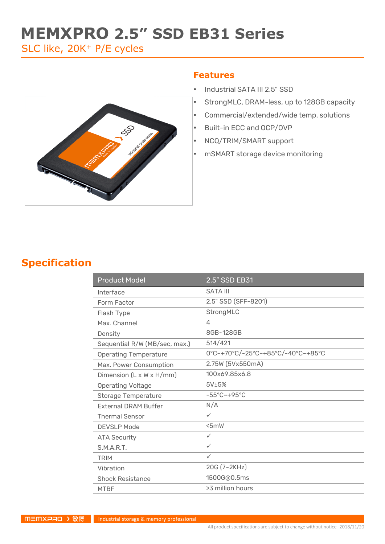# **MEMXPRO 2.5" SSD EB31 Series**

SLC like, 20K<sup>+</sup> P/E cycles



#### **Features**

- Industrial SATA III 2.5" SSD
- StrongMLC, DRAM-less, up to 128GB capacity
- Commercial/extended/wide temp. solutions
- Built-in ECC and OCP/OVP
- NCQ/TRIM/SMART support
- mSMART storage device monitoring

### **Specification**

| <b>Product Model</b>                 | 2.5" SSD EB31                     |  |
|--------------------------------------|-----------------------------------|--|
| Interface                            | <b>SATA III</b>                   |  |
| Form Factor                          | 2.5" SSD (SFF-8201)               |  |
| Flash Type                           | StrongMLC                         |  |
| Max. Channel                         | 4                                 |  |
| Density                              | 8GB~128GB                         |  |
| Sequential R/W (MB/sec, max.)        | 514/421                           |  |
| <b>Operating Temperature</b>         | 0°C~+70°C/-25°C~+85°C/-40°C~+85°C |  |
| Max. Power Consumption               | 2.75W (5Vx550mA)                  |  |
| Dimension $(L \times W \times H/mm)$ | 100x69.85x6.8                     |  |
| <b>Operating Voltage</b>             | 5V±5%                             |  |
| <b>Storage Temperature</b>           | $-55^{\circ}$ C $-+95^{\circ}$ C  |  |
| <b>External DRAM Buffer</b>          | N/A                               |  |
| <b>Thermal Sensor</b>                | $\checkmark$                      |  |
| <b>DEVSLP Mode</b>                   | 5mW                               |  |
| <b>ATA Security</b>                  | ✓                                 |  |
| S.M.A.R.T.                           | $\checkmark$                      |  |
| <b>TRIM</b>                          | $\checkmark$                      |  |
| Vibration                            | 20G (7~2KHz)                      |  |
| <b>Shock Resistance</b>              | 1500G@0.5ms                       |  |
| <b>MTBF</b>                          | >3 million hours                  |  |